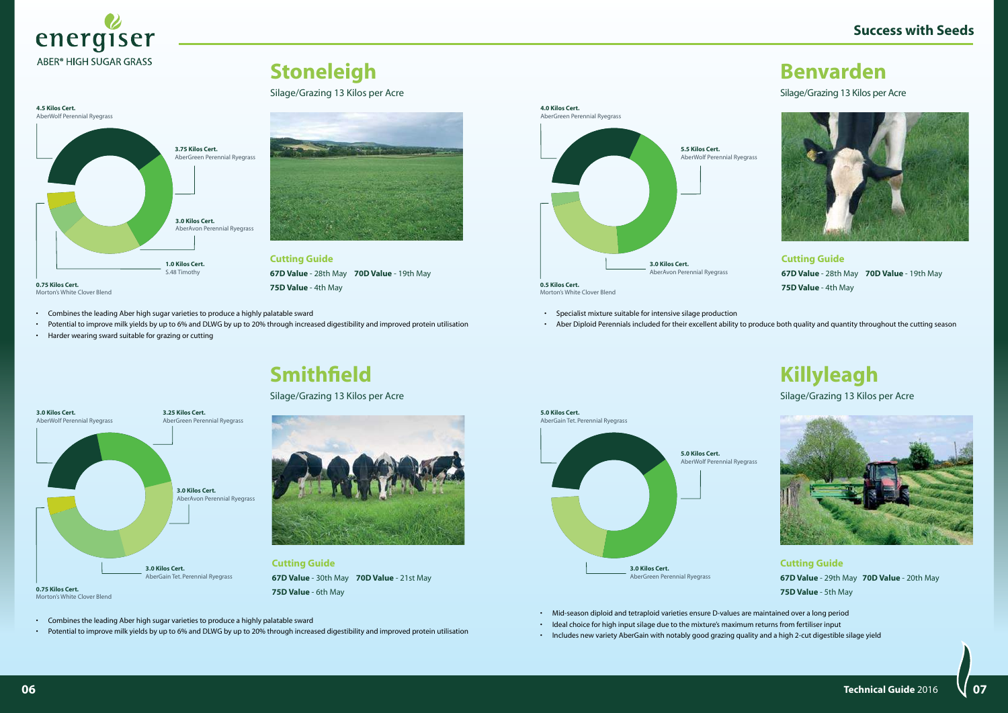- • Specialist mixture suitable for intensive silage production
- • Aber Diploid Perennials included for their excellent ability to produce both quality and quantity throughout the cutting season



Silage/Grazing 13 Kilos per Acre



**Cutting Guide 67D Value** - 28th May **70D Value** - 19th May **75D Value** - 4th May



**0.5 Kilos Cert.**  Morton's White Clover Blend

## **Killyleagh**

Silage/Grazing 13 Kilos per Acre



• Mid-season diploid and tetraploid varieties ensure D-values are maintained over a long period

- • Ideal choice for high input silage due to the mixture's maximum returns from fertiliser input
	- • Includes new variety AberGain with notably good grazing quality and a high 2-cut digestible silage yield

**Cutting Guide 67D Value** - 29th May **70D Value** - 20th May **75D Value** - 5th May





 $\bf 06$   $\bf 07$   $\bf 07$   $\bf 08$   $\bf 09$   $\bf 09$   $\bf 09$   $\bf 09$   $\bf 09$   $\bf 09$ **Technical Guide** 2016

- • Combines the leading Aber high sugar varieties to produce a highly palatable sward
- • Potential to improve milk yields by up to 6% and DLWG by up to 20% through increased digestibility and improved protein utilisation
- • Harder wearing sward suitable for grazing or cutting



## **Stoneleigh**

#### Silage/Grazing 13 Kilos per Acre

**Cutting Guide**

**67D Value** - 28th May **70D Value** - 19th May

**75D Value** - 4th May



Morton's White Clover Blend



• Potential to improve milk yields by up to 6% and DLWG by up to 20% through increased digestibility and improved protein utilisation



**Cutting Guide 67D Value** - 30th May **70D Value** - 21st May **75D Value** - 6th May

## **Smithfield**

Silage/Grazing 13 Kilos per Acre

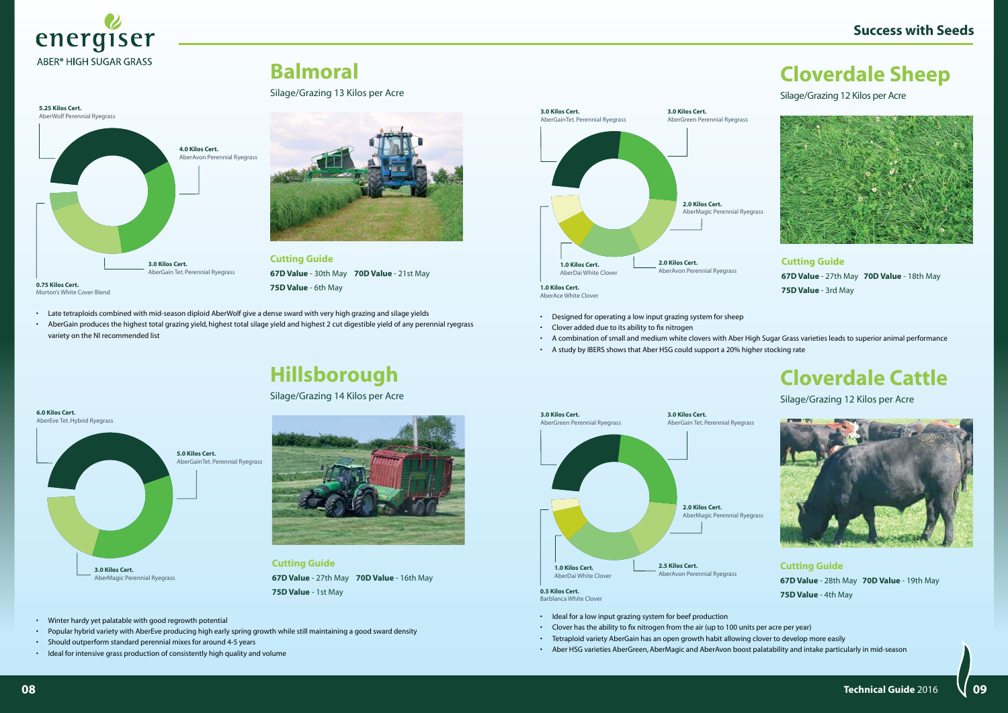- • Winter hardy yet palatable with good regrowth potential
- • Popular hybrid variety with AberEve producing high early spring growth while still maintaining a good sward density
- • Should outperform standard perennial mixes for around 4-5 years
- • Ideal for intensive grass production of consistently high quality and volume



**Cutting Guide 67D Value** - 27th May **70D Value** - 16th May **75D Value** - 1st May

## **Hillsborough**

Silage/Grazing 14 Kilos per Acre



- • Late tetraploids combined with mid-season diploid AberWolf give a dense sward with very high grazing and silage yields
- AberGain produces the highest total grazing yield, highest total silage yield and highest 2 cut digestible yield of any perennial ryegrass variety on the NI recommended list
- Designed for operating a low input grazing system for sheep
- • Clover added due to its ability to fix nitrogen
- • A combination of small and medium white clovers with Aber High Sugar Grass varieties leads to superior animal performance
- • A study by IBERS shows that Aber HSG could support a 20% higher stocking rate

**Balmoral**

Silage/Grazing 13 Kilos per Acre

**Cutting Guide**

**67D Value** - 30th May **70D Value** - 21st May

- • Ideal for a low input grazing system for beef production
- • Clover has the ability to fix nitrogen from the air (up to 100 units per acre per year)
- • Tetraploid variety AberGain has an open growth habit allowing clover to develop more easily
- Aber HSG varieties AberGreen, AberMagic and AberAvon boost palatability and intake particularly in mid-season

**75D Value** - 6th May



#### **5.25 Kilos Cert.** AberWolf Perennial Ryegrass **4.0 Kilos Cert.** AberAvon Perennial Ryegrass **25% 3.0 Kilos Cert.**  AberGain Tet. Perennial Ryegrass **0.75 Kilos Cert.**

Morton's White Cover Blend

 $\sim$  08  $\rm$  **1**  $\sim$  09  $\rm$  **1088**  $\rm{O}$  **1088**  $\rm{O}$  **1088**  $\rm{O}$  **1088**  $\rm{O}$ **Technical Guide** 2016

## **Cloverdale Sheep**

Silage/Grazing 12 Kilos per Acre



**Cutting Guide 67D Value** - 27th May **70D Value** - 18th May **75D Value** - 3rd May

AberAce White Clover



#### **Cloverdale Cattle**

Silage/Grazing 12 Kilos per Acre



**Cutting Guide 67D Value** - 28th May **70D Value** - 19th May **75D Value** - 4th May



**0.5 Kilos Cert.**  Barblanca White Clover

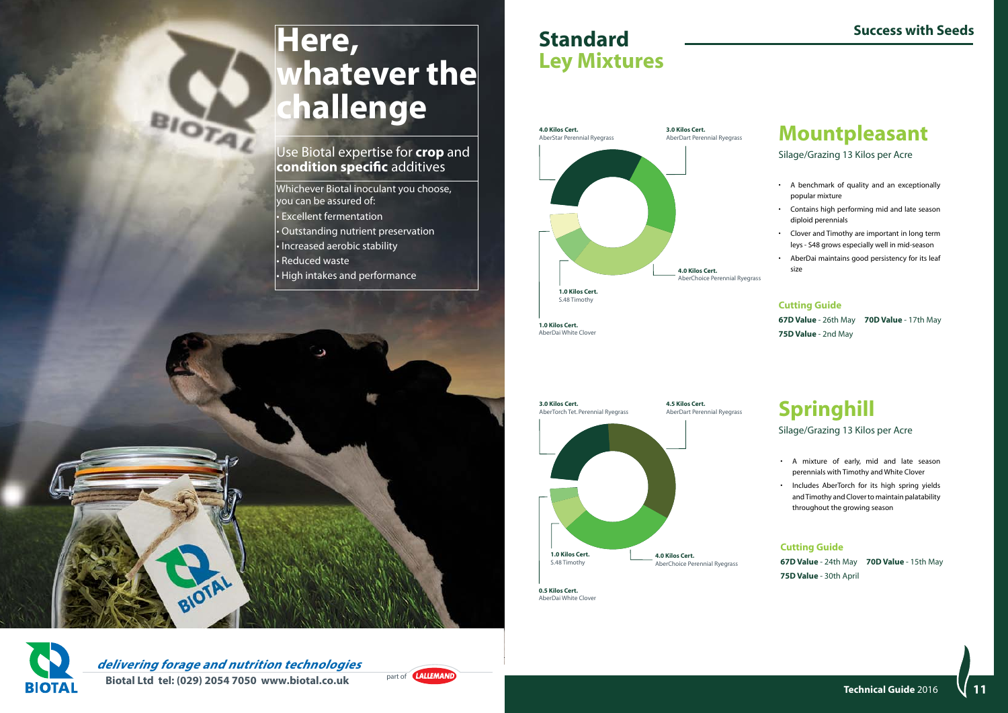#### **Standard Ley Mixtures**



**Mountpleasant**

Silage/Grazing 13 Kilos per Acre

- A benchmark of quality and an exceptionally popular mixture
- Contains high performing mid and late season diploid perennials
- • Clover and Timothy are important in long term leys - S48 grows especially well in mid-season
- • AberDai maintains good persistency for its leaf size

#### **Cutting Guide**

**67D Value** - 26th May **70D Value** - 17th May **75D Value** - 2nd May



## **Springhill**

Silage/Grazing 13 Kilos per Acre

- • A mixture of early, mid and late season perennials with Timothy and White Clover
- Includes AberTorch for its high spring yields and Timothy and Clover to maintain palatability throughout the growing season

#### **Cutting Guide**

**67D Value** - 24th May **70D Value** - 15th May **75D Value** - 30th April

**0.5 Kilos Cert.**  AberDai White Clover

**1.0 Kilos Cert.**  AberDai White Clover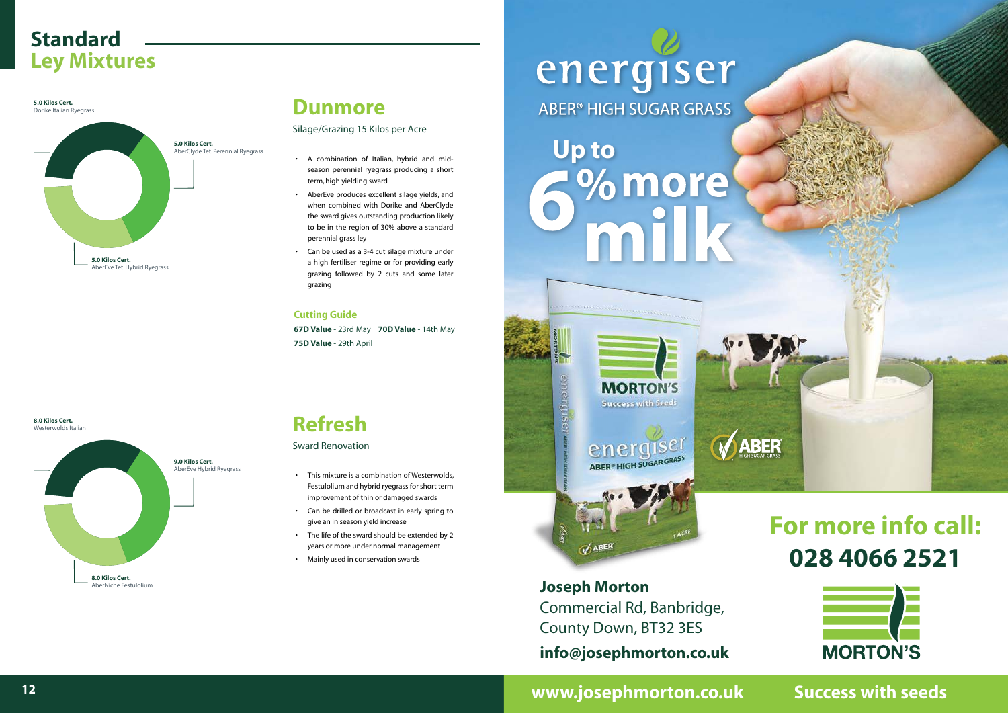

#### **Standard Ley Mixtures**

- • A combination of Italian, hybrid and midseason perennial ryegrass producing a short term, high yielding sward
- • AberEve produces excellent silage yields, and when combined with Dorike and AberClyde the sward gives outstanding production likely to be in the region of 30% above a standard perennial grass ley
- Can be used as a 3-4 cut silage mixture under a high fertiliser regime or for providing early grazing followed by 2 cuts and some later grazing

- • This mixture is a combination of Westerwolds, Festulolium and hybrid ryegrass for short term improvement of thin or damaged swards
- Can be drilled or broadcast in early spring to give an in season yield increase
- The life of the sward should be extended by 2 years or more under normal management
- Mainly used in conservation swards

## energiser ABER® HIGH SUGAR GRASS

#### **Dunmore**

Silage/Grazing 15 Kilos per Acre

#### **Cutting Guide**

**67D Value** - 23rd May **70D Value** - 14th May Y **75D Value** - 29th April

# **Up to** % more



#### **12 Technical Guide** 2015 **13 www.josephmorton.co.uk Success with seeds**

## **Refresh**

#### Sward Renovation

**5.0 Kilos Cert.**





**9.0 Kilos Cert.** AberEve Hybrid Ryegrass

**8.0 Kilos Cert.**  AberNiche Festulolium

## **For more info call: 028 4066 2521**



**Joseph Morton**  Commercial Rd, Banbridge, County Down, BT32 3ES **info@josephmorton.co.uk**